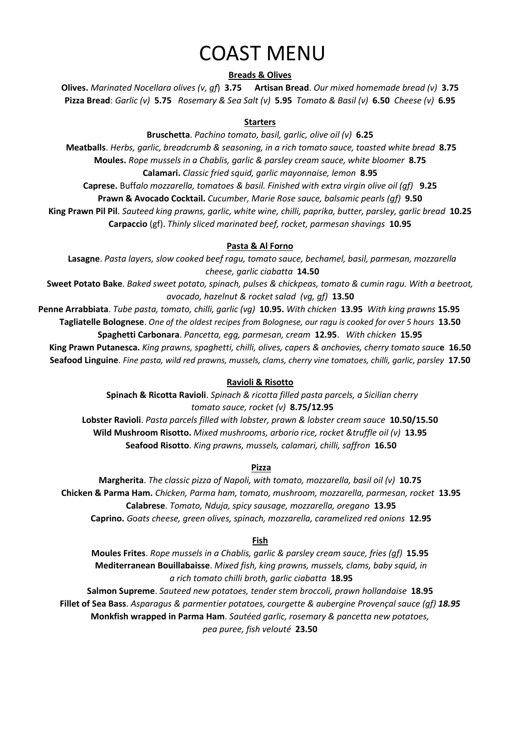# COAST MENU

### **Breads & Olives**

**Olives.** *Marinated Nocellara olives (v, gf*) **3.75 Artisan Bread**. *Our mixed homemade bread (v)* **3.75 Pizza Bread**: *Garlic (v)* **5.75** *Rosemary & Sea Salt (v)* **5.95** *Tomato & Basil (v)* **6.50** *Cheese (v)* **6.95**

#### **Starters**

**Bruschetta**. *Pachino tomato, basil, garlic, olive oil (v)* **6.25 Meatballs**. *Herbs, garlic, breadcrumb & seasoning, in a rich tomato sauce, toasted white bread* **8.75 Moules.** *Rope mussels in a Chablis, garlic & parsley cream sauce, white bloomer* **8.75 Calamari.** *Classic fried squid, garlic mayonnaise, lemon* **8.95**

**Caprese.** Buff*alo mozzarella, tomatoes & basil. Finished with extra virgin olive oil (gf)* **9.25**

**Prawn & Avocado Cocktail.** *Cucumber, Marie Rose sauce, balsamic pearls (gf)* **9.50**

**King Prawn Pil Pil**. *Sauteed king prawns, garlic, white wine, chilli, paprika, butter, parsley, garlic bread* **10.25 Carpaccio** (gf). *Thinly sliced marinated beef, rocket, parmesan shavings* **10.95**

# **Pasta & Al Forno**

**Lasagne**. *Pasta layers, slow cooked beef ragu, tomato sauce, bechamel, basil, parmesan, mozzarella cheese, garlic ciabatta* **14.50**

**Sweet Potato Bake**. *Baked sweet potato, spinach, pulses & chickpeas, tomato & cumin ragu. With a beetroot, avocado, hazelnut & rocket salad (vg, gf)* **13.50**

**Penne Arrabbiata**. *Tube pasta, tomato, chilli, garlic (vg)* **10.95.** *With chicken* **13.95** *With king prawns* **15.95 Tagliatelle Bolognese**. *One of the oldest recipes from Bolognese, our ragu is cooked for over 5 hours* **13.50 Spaghetti Carbonara**. *Pancetta, egg, parmesan, cream* **12.95**. *With chicken* **15.95**

**King Prawn Putanesca.** *King prawns, spaghetti, chilli, olives, capers & anchovies, cherry tomato sauc***e 16.50 Seafood Linguine**. *Fine pasta, wild red prawns, mussels, clams, cherry vine tomatoes, chilli, garlic, parsley* **17.50**

# **Ravioli & Risotto**

**Spinach & Ricotta Ravioli**. *Spinach & ricotta filled pasta parcels, a Sicilian cherry tomato sauce, rocket (v)* **8.75/12.95 Lobster Ravioli**. *Pasta parcels filled with lobster, prawn & lobster cream sauce* **10.50/15.50 Wild Mushroom Risotto.** *Mixed mushrooms, arborio rice, rocket &truffle oil (v)* **13.95**

**Seafood Risotto**. *King prawns, mussels, calamari, chilli, saffron* **16.50**

# **Pizza**

**Margherita**. *The classic pizza of Napoli, with tomato, mozzarella, basil oil (v)* **10.75 Chicken & Parma Ham.** *Chicken, Parma ham, tomato, mushroom, mozzarella, parmesan, rocket* **13.95 Calabrese**. *Tomato, Nduja, spicy sausage, mozzarella, oregano* **13.95 Caprino.** *G*o*ats cheese, green olives, spinach, mozzarella, caramelized red onions* **12.95**

# **Fish**

**Moules Frites**. *Rope mussels in a Chablis, garlic & parsley cream sauce, fries (gf)* **15.95 Mediterranean Bouillabaisse**. *Mixed fish, king prawns, mussels, clams, baby squid, in a rich tomato chilli broth, garlic ciabatta* **18.95**

**Salmon Supreme**. *Sauteed new potatoes, tender stem broccoli, prawn hollandaise* **18.95 Fillet of Sea Bass**. *Asparagus & parmentier potatoes, courgette & aubergine Provençal sauce (gf) 18.95* **Monkfish wrapped in Parma Ham**. *Sautéed garlic, rosemary & pancetta new potatoes, pea puree, fish velouté* **23.50**